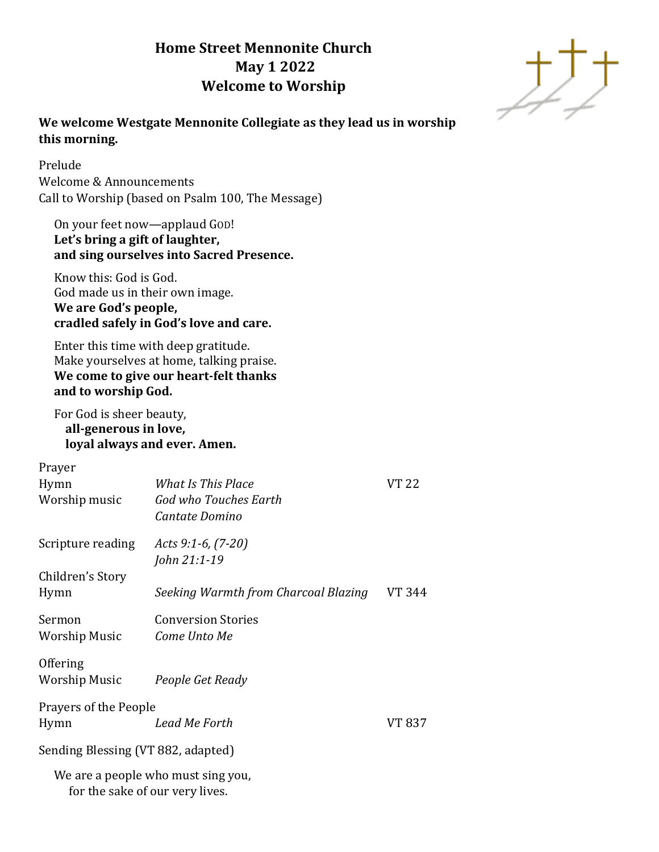# **Home Street Mennonite Church May 1 2022 Welcome to Worship**



# **We welcome Westgate Mennonite Collegiate as they lead us in worship this morning.**

Prelude Welcome & Announcements Call to Worship (based on Psalm 100, The Message)

# On your feet now—applaud GOD! **Let's bring a gift of laughter, and sing ourselves into Sacred Presence.**

Know this: God is God. God made us in their own image. **We are God's people, cradled safely in God's love and care.**

Enter this time with deep gratitude. Make yourselves at home, talking praise.  **We come to give our heart-felt thanks and to worship God.**

# For God is sheer beauty, **all-generous in love, loyal always and ever. Amen.**

| Prayer                             |                                                                       |        |
|------------------------------------|-----------------------------------------------------------------------|--------|
| Hymn                               | What Is This Place                                                    | VT 22  |
| Worship music                      | God who Touches Earth                                                 |        |
|                                    | Cantate Domino                                                        |        |
| Scripture reading                  | Acts 9:1-6, $(7-20)$                                                  |        |
|                                    | John 21:1-19                                                          |        |
| Children's Story                   |                                                                       |        |
| Hymn                               | Seeking Warmth from Charcoal Blazing                                  | VT 344 |
| Sermon                             | <b>Conversion Stories</b>                                             |        |
| Worship Music                      | Come Unto Me                                                          |        |
| Offering                           |                                                                       |        |
| Worship Music                      | People Get Ready                                                      |        |
| Prayers of the People              |                                                                       |        |
| Hymn                               | Lead Me Forth                                                         | VT 837 |
| Sending Blessing (VT 882, adapted) |                                                                       |        |
|                                    | We are a people who must sing you,<br>for the sake of our very lives. |        |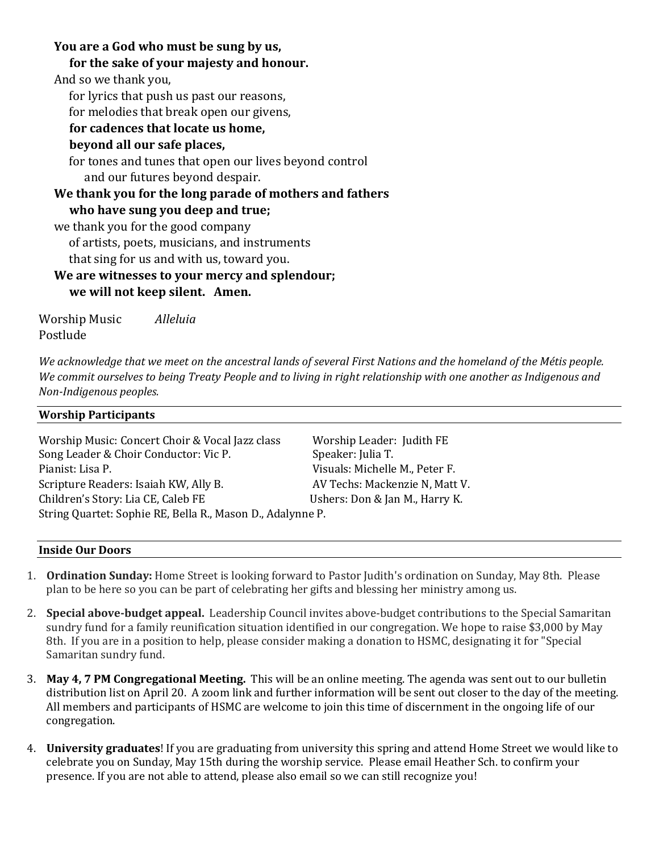# **You are a God who must be sung by us,**

# **for the sake of your majesty and honour.**

And so we thank you,

for lyrics that push us past our reasons,

for melodies that break open our givens,

# **for cadences that locate us home,**

# **beyond all our safe places,**

for tones and tunes that open our lives beyond control and our futures beyond despair.

# **We thank you for the long parade of mothers and fathers**

**who have sung you deep and true;**

we thank you for the good company

of artists, poets, musicians, and instruments

that sing for us and with us, toward you.

# **We are witnesses to your mercy and splendour; we will not keep silent. Amen.**

Worship Music *Alleluia* Postlude

We acknowledge that we meet on the ancestral lands of several First Nations and the homeland of the Métis people. *We commit ourselves to being Treaty People and to living in right relationship with one another as Indigenous and Non-Indigenous peoples.* 

# **Worship Participants** Worship Music: Concert Choir & Vocal Jazz class Worship Leader: Judith FE Song Leader & Choir Conductor: Vic P. Speaker: Julia T. Pianist: Lisa P. Visuals: Michelle M., Peter F. Scripture Readers: Isaiah KW, Ally B. AV Techs: Mackenzie N, Matt V. Children's Story: Lia CE, Caleb FE Ushers: Don & Jan M., Harry K. String Quartet: Sophie RE, Bella R., Mason D., Adalynne P.

### **Inside Our Doors**

- 1. **Ordination Sunday:** Home Street is looking forward to Pastor Judith's ordination on Sunday, May 8th. Please plan to be here so you can be part of celebrating her gifts and blessing her ministry among us.
- 2. **Special above-budget appeal.** Leadership Council invites above-budget contributions to the Special Samaritan sundry fund for a family reunification situation identified in our congregation. We hope to raise \$3,000 by May 8th. If you are in a position to help, please consider making a donation to HSMC, designating it for "Special Samaritan sundry fund.
- 3. **May 4, 7 PM Congregational Meeting.** This will be an online meeting. The agenda was sent out to our bulletin distribution list on April 20. A zoom link and further information will be sent out closer to the day of the meeting. All members and participants of HSMC are welcome to join this time of discernment in the ongoing life of our congregation.
- 4. **University graduates**! If you are graduating from university this spring and attend Home Street we would like to celebrate you on Sunday, May 15th during the worship service. Please email Heather Sch. to confirm your presence. If you are not able to attend, please also email so we can still recognize you!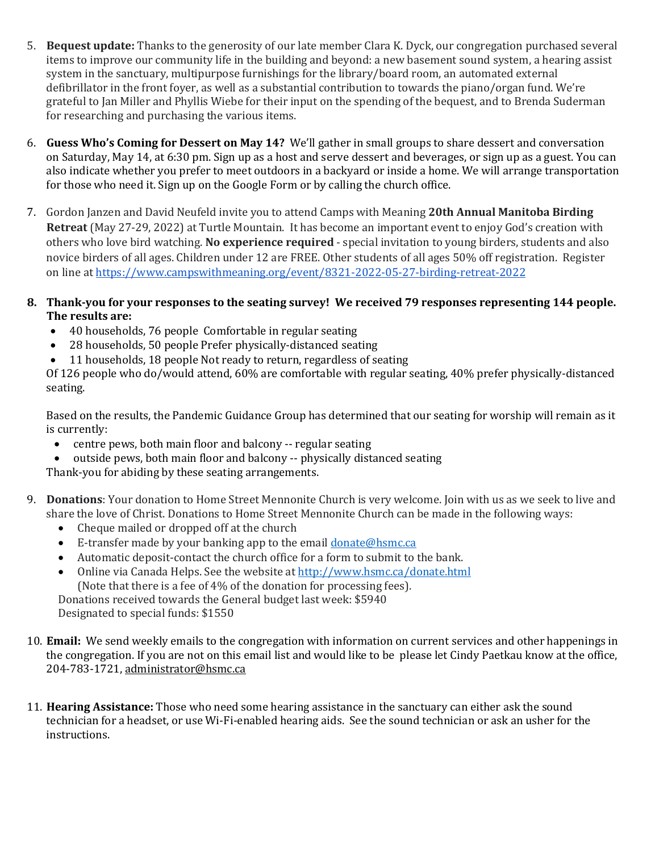- 5. **Bequest update:** Thanks to the generosity of our late member Clara K. Dyck, our congregation purchased several items to improve our community life in the building and beyond: a new basement sound system, a hearing assist system in the sanctuary, multipurpose furnishings for the library/board room, an automated external defibrillator in the front foyer, as well as a substantial contribution to towards the piano/organ fund. We're grateful to Jan Miller and Phyllis Wiebe for their input on the spending of the bequest, and to Brenda Suderman for researching and purchasing the various items.
- 6. **Guess Who's Coming for Dessert on May 14?** We'll gather in small groups to share dessert and conversation on Saturday, May 14, at 6:30 pm. Sign up as a host and serve dessert and beverages, or sign up as a guest. You can also indicate whether you prefer to meet outdoors in a backyard or inside a home. We will arrange transportation for those who need it. Sign up on the Google Form or by calling the church office.
- 7. Gordon Janzen and David Neufeld invite you to attend Camps with Meaning **20th Annual Manitoba Birding Retreat** (May 27-29, 2022) at Turtle Mountain. It has become an important event to enjoy God's creation with others who love bird watching. **No experience required** - special invitation to young birders, students and also novice birders of all ages. Children under 12 are FREE. Other students of all ages 50% off registration. Register on line at <https://www.campswithmeaning.org/event/8321-2022-05-27-birding-retreat-2022>
- **8. Thank-you for your responses to the seating survey! We received 79 responses representing 144 people. The results are:**
	- 40 households, 76 people Comfortable in regular seating
	- 28 households, 50 people Prefer physically-distanced seating
	- 11 households, 18 people Not ready to return, regardless of seating

Of 126 people who do/would attend, 60% are comfortable with regular seating, 40% prefer physically-distanced seating.

Based on the results, the Pandemic Guidance Group has determined that our seating for worship will remain as it is currently:

- centre pews, both main floor and balcony -- regular seating
- outside pews, both main floor and balcony -- physically distanced seating

Thank-you for abiding by these seating arrangements.

- 9. **Donations**: Your donation to Home Street Mennonite Church is very welcome. Join with us as we seek to live and share the love of Christ. Donations to Home Street Mennonite Church can be made in the following ways:
	- Cheque mailed or dropped off at the church
	- E-transfer made by your banking app to the email [donate@hsmc.ca](mailto:donate@hsmc.ca)
	- Automatic deposit-contact the church office for a form to submit to the bank.
	- Online via Canada Helps. See the website at<http://www.hsmc.ca/donate.html> (Note that there is a fee of 4% of the donation for processing fees). Donations received towards the General budget last week: \$5940

Designated to special funds: \$1550

- 10. **Email:** We send weekly emails to the congregation with information on current services and other happenings in the congregation. If you are not on this email list and would like to be please let Cindy Paetkau know at the office, 204-783-1721, [administrator@hsmc.ca](mailto:administrator@hsmc.ca)
- 11. **Hearing Assistance:** Those who need some hearing assistance in the sanctuary can either ask the sound technician for a headset, or use Wi-Fi-enabled hearing aids. See the sound technician or ask an usher for the instructions.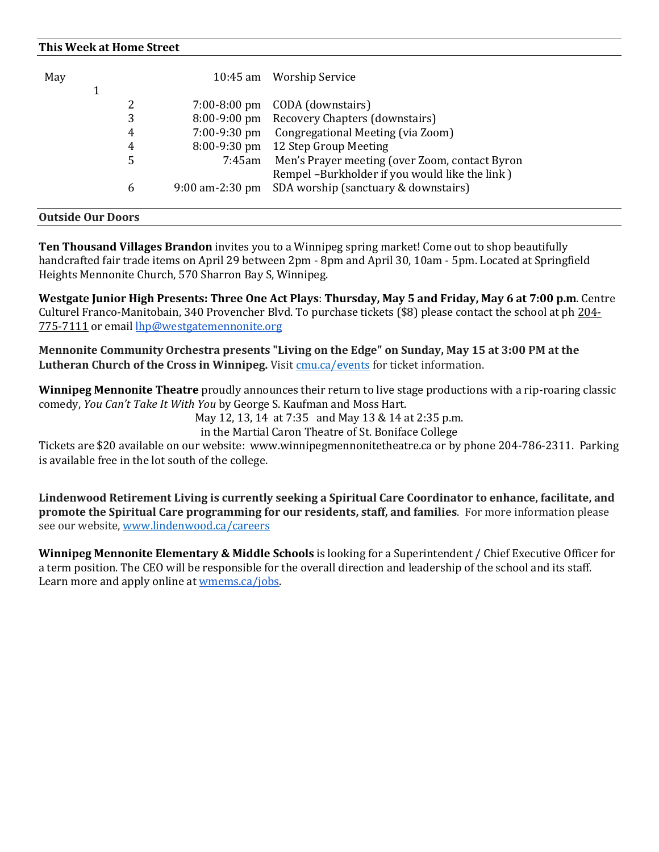#### **This Week at Home Street**

| May |   |        | 10:45 am Worship Service                             |
|-----|---|--------|------------------------------------------------------|
|     |   |        |                                                      |
|     | 2 |        | 7:00-8:00 pm CODA (downstairs)                       |
|     | 3 |        | 8:00-9:00 pm Recovery Chapters (downstairs)          |
|     | 4 |        | 7:00-9:30 pm Congregational Meeting (via Zoom)       |
|     | 4 |        | 8:00-9:30 pm 12 Step Group Meeting                   |
|     | 5 | 7:45am | Men's Prayer meeting (over Zoom, contact Byron       |
|     |   |        | Rempel -Burkholder if you would like the link )      |
|     | 6 |        | 9:00 am-2:30 pm SDA worship (sanctuary & downstairs) |
|     |   |        |                                                      |

#### **Outside Our Doors**

**[Ten Thousand Villages Brandon](https://mennonitecentralcommittee.cmail20.com/t/i-l-culhhlk-tjhliklilh-i/)** invites you to a Winnipeg spring market! Come out to shop beautifully handcrafted fair trade items on April 29 between 2pm - 8pm and April 30, 10am - 5pm. Located at Springfield Heights Mennonite Church, 570 Sharron Bay S, Winnipeg.

**Westgate Junior High Presents: Three One Act Plays**: **Thursday, May 5 and Friday, May 6 at 7:00 p.m**. Centre Culturel Franco-Manitobain, 340 Provencher Blvd. To purchase tickets (\$8) please contact the school at ph [204-](tel:2047757111) [775-7111](tel:2047757111) or email [lhp@westgatemennonite.org](mailto:lhp@westgatemennonite.org)

**Mennonite Community Orchestra presents "Living on the Edge" on Sunday, May 15 at 3:00 PM at the Lutheran Church of the Cross in Winnipeg.** Visit [cmu.ca/events](http://cmu.ca/events) for ticket information.

**Winnipeg Mennonite Theatre** proudly announces their return to live stage productions with a rip-roaring classic comedy, *You Can't Take It With You* by George S. Kaufman and Moss Hart.

May 12, 13, 14 at 7:35 and May 13 & 14 at 2:35 p.m.

in the Martial Caron Theatre of St. Boniface College

Tickets are \$20 available on our website: www.winnipegmennonitetheatre.ca or by phone 204-786-2311. Parking is available free in the lot south of the college.

**Lindenwood Retirement Living is currently seeking a Spiritual Care Coordinator to enhance, facilitate, and promote the Spiritual Care programming for our residents, staff, and families**. For more information please see our website, [www.lindenwood.ca/careers](http://www.lindenwood.ca/careers)

**Winnipeg Mennonite Elementary & Middle Schools** is looking for a Superintendent / Chief Executive Officer for a term position. The CEO will be responsible for the overall direction and leadership of the school and its staff. Learn more and apply online at [wmems.ca/jobs.](http://wmems.ca/jobs)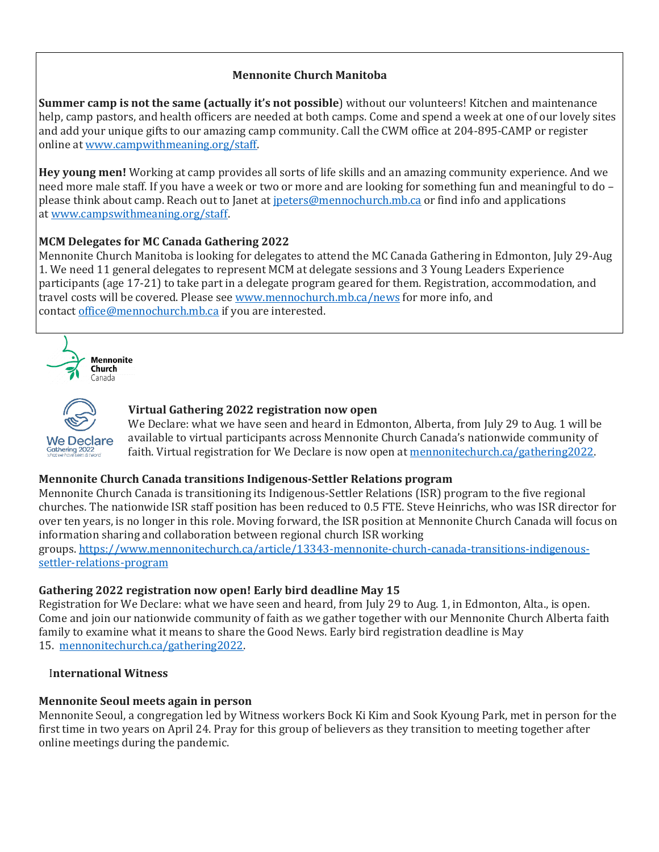# **Mennonite Church Manitoba**

**Summer camp is not the same (actually it's not possible**) without our volunteers! Kitchen and maintenance help, camp pastors, and health officers are needed at both camps. Come and spend a week at one of our lovely sites and add your unique gifts to our amazing camp community. Call the CWM office at 204-895-CAMP or register online at [www.campwithmeaning.org/staff.](https://mennochurch.us17.list-manage.com/track/click?u=ad5b62cc11dbd51616d36b2e2&id=802ede74be&e=e5164c07cf)

**Hey young men!** Working at camp provides all sorts of life skills and an amazing community experience. And we need more male staff. If you have a week or two or more and are looking for something fun and meaningful to do – please think about camp. Reach out to Janet at <u>ipeters@mennochurch.mb.ca</u> or find info and applications at [www.campswithmeaning.org/staff.](https://mennochurch.us17.list-manage.com/track/click?u=ad5b62cc11dbd51616d36b2e2&id=d40f9d6605&e=e5164c07cf)

## **MCM Delegates for MC Canada Gathering 2022**

Mennonite Church Manitoba is looking for delegates to attend the MC Canada Gathering in Edmonton, July 29-Aug 1. We need 11 general delegates to represent MCM at delegate sessions and 3 Young Leaders Experience participants (age 17-21) to take part in a delegate program geared for them. Registration, accommodation, and travel costs will be covered. Please see [www.mennochurch.mb.ca/news](https://mennochurch.us17.list-manage.com/track/click?u=ad5b62cc11dbd51616d36b2e2&id=6bfb8cf023&e=e5164c07cf) for more info, and contact [office@mennochurch.mb.ca](mailto:office@mennochurch.mb.ca) if you are interested.





#### **Virtual Gathering 2022 registration now open**

We Declare: what we have seen and heard in Edmonton, Alberta, from July 29 to Aug. 1 will be available to virtual participants across Mennonite Church Canada's nationwide community of faith. Virtual registration for We Declare is now open at [mennonitechurch.ca/gathering2022.](https://mennochurch.us17.list-manage.com/track/click?u=ad5b62cc11dbd51616d36b2e2&id=4225d0e201&e=e5164c07cf)

### **Mennonite Church Canada transitions Indigenous-Settler Relations program**

Mennonite Church Canada is transitioning its Indigenous-Settler Relations (ISR) program to the five regional churches. The nationwide ISR staff position has been reduced to 0.5 FTE. Steve Heinrichs, who was ISR director for over ten years, is no longer in this role. Moving forward, the ISR position at Mennonite Church Canada will focus on information sharing and collaboration between regional church ISR working groups. [https://www.mennonitechurch.ca/article/13343-mennonite-church-canada-transitions-indigenous](https://mennochurch.us17.list-manage.com/track/click?u=ad5b62cc11dbd51616d36b2e2&id=65b360acf3&e=e5164c07cf)[settler-relations-program](https://mennochurch.us17.list-manage.com/track/click?u=ad5b62cc11dbd51616d36b2e2&id=65b360acf3&e=e5164c07cf)

### **Gathering 2022 registration now open! Early bird deadline May 15**

Registration for We Declare: what we have seen and heard, from July 29 to Aug. 1, in Edmonton, Alta., is open. Come and join our nationwide community of faith as we gather together with our Mennonite Church Alberta faith family to examine what it means to share the Good News. Early bird registration deadline is May 15. [mennonitechurch.ca/gathering2022.](https://mennochurch.us17.list-manage.com/track/click?u=ad5b62cc11dbd51616d36b2e2&id=1a7bed70f3&e=e5164c07cf)

#### I**nternational Witness**

### **Mennonite Seoul meets again in person**

Mennonite Seoul, a congregation led by Witness workers Bock Ki Kim and Sook Kyoung Park, met in person for the first time in two years on April 24. Pray for this group of believers as they transition to meeting together after online meetings during the pandemic.